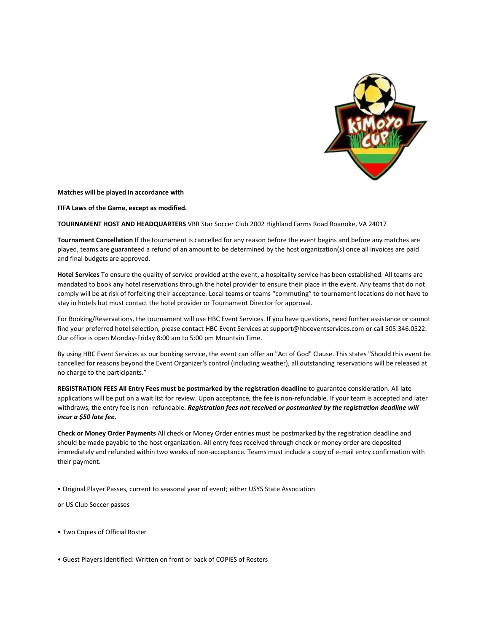

**Matches will be played in accordance with**

**FIFA Laws of the Game, except as modified.**

**TOURNAMENT HOST AND HEADQUARTERS** VBR Star Soccer Club 2002 Highland Farms Road Roanoke, VA 24017

**Tournament Cancellation** If the tournament is cancelled for any reason before the event begins and before any matches are played, teams are guaranteed a refund of an amount to be determined by the host organization(s) once all invoices are paid and final budgets are approved.

**Hotel Services** To ensure the quality of service provided at the event, a hospitality service has been established. All teams are mandated to book any hotel reservations through the hotel provider to ensure their place in the event. Any teams that do not comply will be at risk of forfeiting their acceptance. Local teams or teams "commuting" to tournament locations do not have to stay in hotels but must contact the hotel provider or Tournament Director for approval.

For Booking/Reservations, the tournament will use HBC Event Services. If you have questions, need further assistance or cannot find your preferred hotel selection, please contact HBC Event Services at support@hbceventservices.com or call 505.346.0522. Our office is open Monday-Friday 8:00 am to 5:00 pm Mountain Time.

By using HBC Event Services as our booking service, the event can offer an "Act of God" Clause. This states "Should this event be cancelled for reasons beyond the Event Organizer's control (including weather), all outstanding reservations will be released at no charge to the participants."

**REGISTRATION FEES All Entry Fees must be postmarked by the registration deadline** to guarantee consideration. All late applications will be put on a wait list for review. Upon acceptance, the fee is non-refundable. If your team is accepted and later withdraws, the entry fee is non- refundable. *Registration fees not received or postmarked by the registration deadline will incur a \$50 late fee.*

**Check or Money Order Payments** All check or Money Order entries must be postmarked by the registration deadline and should be made payable to the host organization. All entry fees received through check or money order are deposited immediately and refunded within two weeks of non-acceptance. Teams must include a copy of e-mail entry confirmation with their payment.

• Original Player Passes, current to seasonal year of event; either USYS State Association

or US Club Soccer passes

• Two Copies of Official Roster

• Guest Players identified: Written on front or back of COPIES of Rosters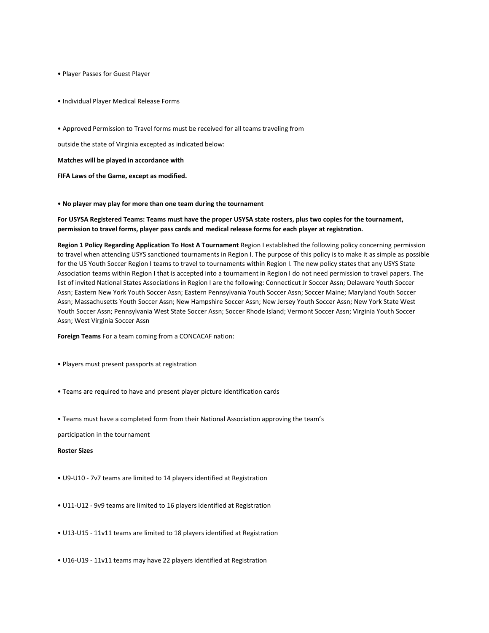• Player Passes for Guest Player

• Individual Player Medical Release Forms

• Approved Permission to Travel forms must be received for all teams traveling from

outside the state of Virginia excepted as indicated below:

**Matches will be played in accordance with**

**FIFA Laws of the Game, except as modified.**

• **No player may play for more than one team during the tournament**

**For USYSA Registered Teams: Teams must have the proper USYSA state rosters, plus two copies for the tournament, permission to travel forms, player pass cards and medical release forms for each player at registration.**

**Region 1 Policy Regarding Application To Host A Tournament** Region I established the following policy concerning permission to travel when attending USYS sanctioned tournaments in Region I. The purpose of this policy is to make it as simple as possible for the US Youth Soccer Region I teams to travel to tournaments within Region I. The new policy states that any USYS State Association teams within Region I that is accepted into a tournament in Region I do not need permission to travel papers. The list of invited National States Associations in Region I are the following: Connecticut Jr Soccer Assn; Delaware Youth Soccer Assn; Eastern New York Youth Soccer Assn; Eastern Pennsylvania Youth Soccer Assn; Soccer Maine; Maryland Youth Soccer Assn; Massachusetts Youth Soccer Assn; New Hampshire Soccer Assn; New Jersey Youth Soccer Assn; New York State West Youth Soccer Assn; Pennsylvania West State Soccer Assn; Soccer Rhode Island; Vermont Soccer Assn; Virginia Youth Soccer Assn; West Virginia Soccer Assn

**Foreign Teams** For a team coming from a CONCACAF nation:

- Players must present passports at registration
- Teams are required to have and present player picture identification cards
- Teams must have a completed form from their National Association approving the team's

participation in the tournament

### **Roster Sizes**

- U9-U10 7v7 teams are limited to 14 players identified at Registration
- U11-U12 9v9 teams are limited to 16 players identified at Registration
- U13-U15 11v11 teams are limited to 18 players identified at Registration
- U16-U19 11v11 teams may have 22 players identified at Registration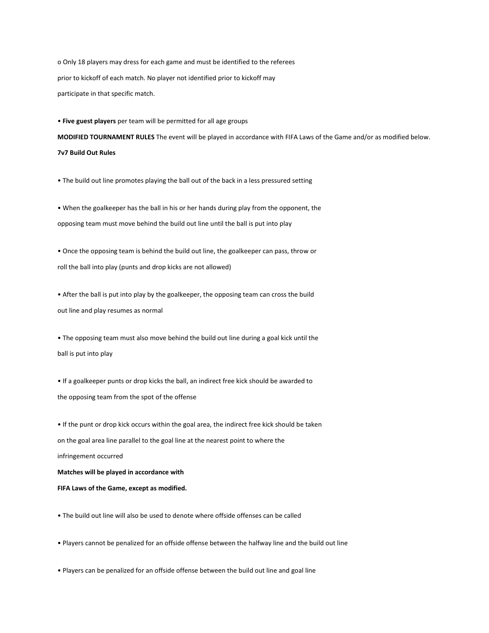o Only 18 players may dress for each game and must be identified to the referees prior to kickoff of each match. No player not identified prior to kickoff may participate in that specific match.

• **Five guest players** per team will be permitted for all age groups

**MODIFIED TOURNAMENT RULES** The event will be played in accordance with FIFA Laws of the Game and/or as modified below. **7v7 Build Out Rules**

• The build out line promotes playing the ball out of the back in a less pressured setting

• When the goalkeeper has the ball in his or her hands during play from the opponent, the opposing team must move behind the build out line until the ball is put into play

• Once the opposing team is behind the build out line, the goalkeeper can pass, throw or roll the ball into play (punts and drop kicks are not allowed)

• After the ball is put into play by the goalkeeper, the opposing team can cross the build out line and play resumes as normal

• The opposing team must also move behind the build out line during a goal kick until the ball is put into play

• If a goalkeeper punts or drop kicks the ball, an indirect free kick should be awarded to the opposing team from the spot of the offense

• If the punt or drop kick occurs within the goal area, the indirect free kick should be taken on the goal area line parallel to the goal line at the nearest point to where the infringement occurred **Matches will be played in accordance with**

**FIFA Laws of the Game, except as modified.**

• Players cannot be penalized for an offside offense between the halfway line and the build out line

• Players can be penalized for an offside offense between the build out line and goal line

• The build out line will also be used to denote where offside offenses can be called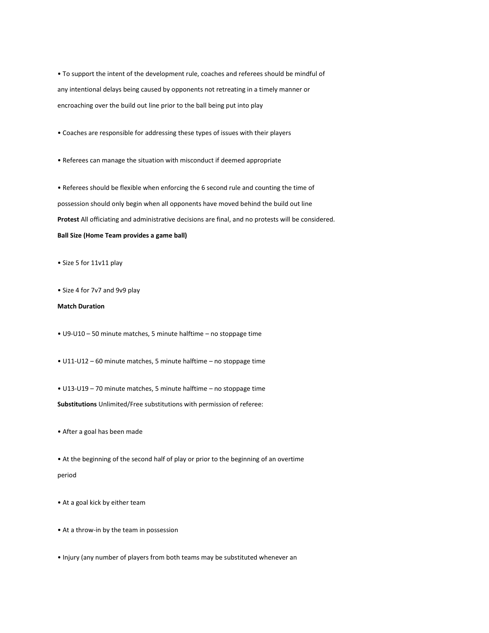• To support the intent of the development rule, coaches and referees should be mindful of any intentional delays being caused by opponents not retreating in a timely manner or encroaching over the build out line prior to the ball being put into play

• Coaches are responsible for addressing these types of issues with their players

• Referees can manage the situation with misconduct if deemed appropriate

• Referees should be flexible when enforcing the 6 second rule and counting the time of possession should only begin when all opponents have moved behind the build out line **Protest** All officiating and administrative decisions are final, and no protests will be considered. **Ball Size (Home Team provides a game ball)**

• Size 5 for 11v11 play

• Size 4 for 7v7 and 9v9 play

# **Match Duration**

• U9-U10 – 50 minute matches, 5 minute halftime – no stoppage time

• U11-U12 – 60 minute matches, 5 minute halftime – no stoppage time

• U13-U19 – 70 minute matches, 5 minute halftime – no stoppage time

**Substitutions** Unlimited/Free substitutions with permission of referee:

• After a goal has been made

• At the beginning of the second half of play or prior to the beginning of an overtime period

• At a goal kick by either team

• At a throw-in by the team in possession

• Injury (any number of players from both teams may be substituted whenever an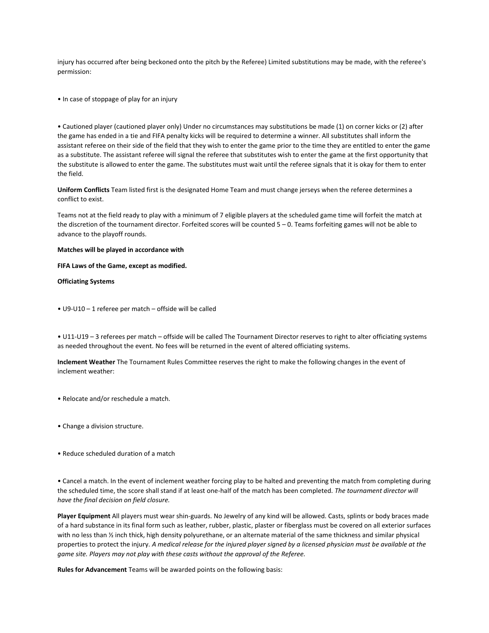injury has occurred after being beckoned onto the pitch by the Referee) Limited substitutions may be made, with the referee's permission:

• In case of stoppage of play for an injury

• Cautioned player (cautioned player only) Under no circumstances may substitutions be made (1) on corner kicks or (2) after the game has ended in a tie and FIFA penalty kicks will be required to determine a winner. All substitutes shall inform the assistant referee on their side of the field that they wish to enter the game prior to the time they are entitled to enter the game as a substitute. The assistant referee will signal the referee that substitutes wish to enter the game at the first opportunity that the substitute is allowed to enter the game. The substitutes must wait until the referee signals that it is okay for them to enter the field.

**Uniform Conflicts** Team listed first is the designated Home Team and must change jerseys when the referee determines a conflict to exist.

Teams not at the field ready to play with a minimum of 7 eligible players at the scheduled game time will forfeit the match at the discretion of the tournament director. Forfeited scores will be counted 5 – 0. Teams forfeiting games will not be able to advance to the playoff rounds.

### **Matches will be played in accordance with**

**FIFA Laws of the Game, except as modified.**

### **Officiating Systems**

• U9-U10 – 1 referee per match – offside will be called

• U11-U19 – 3 referees per match – offside will be called The Tournament Director reserves to right to alter officiating systems as needed throughout the event. No fees will be returned in the event of altered officiating systems.

**Inclement Weather** The Tournament Rules Committee reserves the right to make the following changes in the event of inclement weather:

- Relocate and/or reschedule a match.
- Change a division structure.
- Reduce scheduled duration of a match

• Cancel a match. In the event of inclement weather forcing play to be halted and preventing the match from completing during the scheduled time, the score shall stand if at least one-half of the match has been completed. *The tournament director will have the final decision on field closure.*

**Player Equipment** All players must wear shin-guards. No Jewelry of any kind will be allowed. Casts, splints or body braces made of a hard substance in its final form such as leather, rubber, plastic, plaster or fiberglass must be covered on all exterior surfaces with no less than ½ inch thick, high density polyurethane, or an alternate material of the same thickness and similar physical properties to protect the injury. A medical release for the injured player signed by a licensed physician must be available at the *game site. Players may not play with these casts without the approval of the Referee.*

**Rules for Advancement** Teams will be awarded points on the following basis: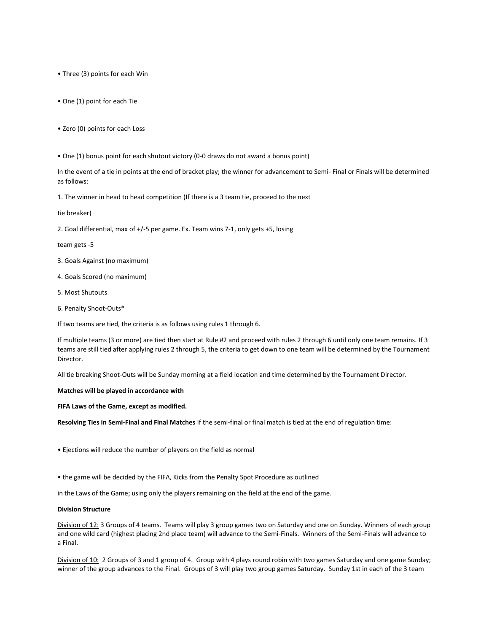• Three (3) points for each Win

- One (1) point for each Tie
- Zero (0) points for each Loss
- One (1) bonus point for each shutout victory (0-0 draws do not award a bonus point)

In the event of a tie in points at the end of bracket play; the winner for advancement to Semi- Final or Finals will be determined as follows:

1. The winner in head to head competition (If there is a 3 team tie, proceed to the next

tie breaker)

2. Goal differential, max of +/-5 per game. Ex. Team wins 7-1, only gets +5, losing

team gets -5

- 3. Goals Against (no maximum)
- 4. Goals Scored (no maximum)
- 5. Most Shutouts
- 6. Penalty Shoot-Outs\*

If two teams are tied, the criteria is as follows using rules 1 through 6.

If multiple teams (3 or more) are tied then start at Rule #2 and proceed with rules 2 through 6 until only one team remains. If 3 teams are still tied after applying rules 2 through 5, the criteria to get down to one team will be determined by the Tournament Director.

All tie breaking Shoot-Outs will be Sunday morning at a field location and time determined by the Tournament Director.

# **Matches will be played in accordance with**

**FIFA Laws of the Game, except as modified.**

**Resolving Ties in Semi-Final and Final Matches** If the semi-final or final match is tied at the end of regulation time:

• Ejections will reduce the number of players on the field as normal

• the game will be decided by the FIFA, Kicks from the Penalty Spot Procedure as outlined

in the Laws of the Game; using only the players remaining on the field at the end of the game.

# **Division Structure**

Division of 12: 3 Groups of 4 teams. Teams will play 3 group games two on Saturday and one on Sunday. Winners of each group and one wild card (highest placing 2nd place team) will advance to the Semi-Finals. Winners of the Semi-Finals will advance to a Final.

Division of 10: 2 Groups of 3 and 1 group of 4. Group with 4 plays round robin with two games Saturday and one game Sunday; winner of the group advances to the Final. Groups of 3 will play two group games Saturday. Sunday 1st in each of the 3 team